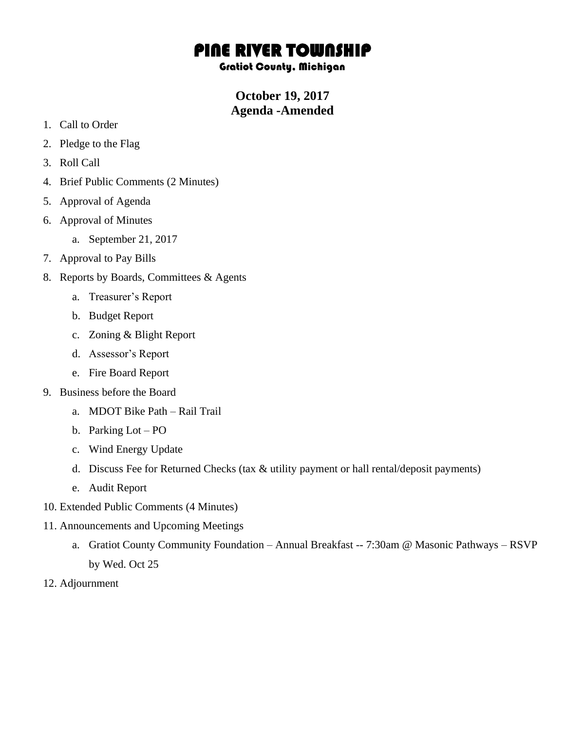## PINE RIVER TOWNSHIP

Gratiot County, Michigan

**October 19, 2017 Agenda -Amended**

- 1. Call to Order
- 2. Pledge to the Flag
- 3. Roll Call
- 4. Brief Public Comments (2 Minutes)
- 5. Approval of Agenda
- 6. Approval of Minutes
	- a. September 21, 2017
- 7. Approval to Pay Bills
- 8. Reports by Boards, Committees & Agents
	- a. Treasurer's Report
	- b. Budget Report
	- c. Zoning & Blight Report
	- d. Assessor's Report
	- e. Fire Board Report
- 9. Business before the Board
	- a. MDOT Bike Path Rail Trail
	- b. Parking Lot PO
	- c. Wind Energy Update
	- d. Discuss Fee for Returned Checks (tax & utility payment or hall rental/deposit payments)
	- e. Audit Report
- 10. Extended Public Comments (4 Minutes)
- 11. Announcements and Upcoming Meetings
	- a. Gratiot County Community Foundation Annual Breakfast -- 7:30am @ Masonic Pathways RSVP by Wed. Oct 25
- 12. Adjournment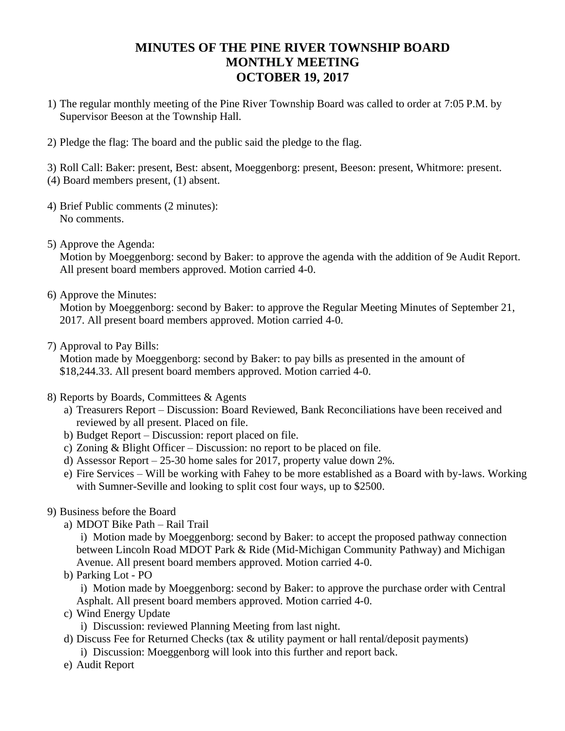## **MINUTES OF THE PINE RIVER TOWNSHIP BOARD MONTHLY MEETING OCTOBER 19, 2017**

- 1) The regular monthly meeting of the Pine River Township Board was called to order at 7:05 P.M. by Supervisor Beeson at the Township Hall.
- 2) Pledge the flag: The board and the public said the pledge to the flag.

3) Roll Call: Baker: present, Best: absent, Moeggenborg: present, Beeson: present, Whitmore: present. (4) Board members present, (1) absent.

- 4) Brief Public comments (2 minutes): No comments.
- 5) Approve the Agenda:

Motion by Moeggenborg: second by Baker: to approve the agenda with the addition of 9e Audit Report. All present board members approved. Motion carried 4-0.

6) Approve the Minutes:

Motion by Moeggenborg: second by Baker: to approve the Regular Meeting Minutes of September 21, 2017. All present board members approved. Motion carried 4-0.

7) Approval to Pay Bills:

Motion made by Moeggenborg: second by Baker: to pay bills as presented in the amount of \$18,244.33. All present board members approved. Motion carried 4-0.

- 8) Reports by Boards, Committees & Agents
	- a) Treasurers Report Discussion: Board Reviewed, Bank Reconciliations have been received and reviewed by all present. Placed on file.
	- b) Budget Report Discussion: report placed on file.
	- c) Zoning & Blight Officer Discussion: no report to be placed on file.
	- d) Assessor Report 25-30 home sales for 2017, property value down 2%.
	- e) Fire Services Will be working with Fahey to be more established as a Board with by-laws. Working with Sumner-Seville and looking to split cost four ways, up to \$2500.
- 9) Business before the Board
	- a) MDOT Bike Path Rail Trail

i) Motion made by Moeggenborg: second by Baker: to accept the proposed pathway connection between Lincoln Road MDOT Park & Ride (Mid-Michigan Community Pathway) and Michigan Avenue. All present board members approved. Motion carried 4-0.

b) Parking Lot - PO

i) Motion made by Moeggenborg: second by Baker: to approve the purchase order with Central Asphalt. All present board members approved. Motion carried 4-0.

c) Wind Energy Update

i) Discussion: reviewed Planning Meeting from last night.

- d) Discuss Fee for Returned Checks (tax & utility payment or hall rental/deposit payments) i) Discussion: Moeggenborg will look into this further and report back.
- e) Audit Report